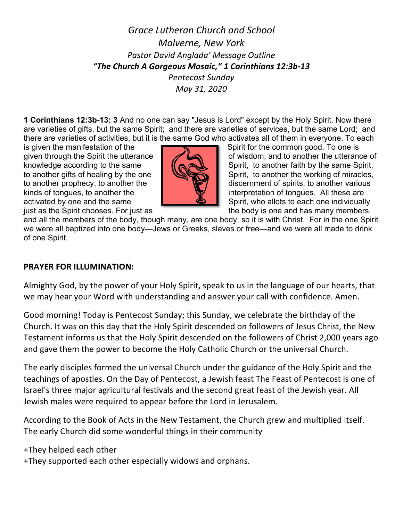# *Grace Lutheran Church and School Malverne, New York Pastor David Anglada' Message Outline "The Church A Gorgeous Mosaic," 1 Corinthians 12:3b-13 Pentecost Sunday May 31, 2020*

**1 Corinthians 12:3b-13: 3** And no one can say "Jesus is Lord" except by the Holy Spirit. Now there are varieties of gifts, but the same Spirit; and there are varieties of services, but the same Lord; and there are varieties of activities, but it is the same God who activates all of them in everyone. To each

is given the manifestation of the  $\overline{S}$   $\overline{S}$  Spirit for the common good. To one is



given through the Spirit the utterance  $\Box$   $\Box$  of wisdom, and to another the utterance of knowledge according to the same  $\|\|\mathbf{A}\|$   $\|\mathbf{A}\|$  Spirit, to another faith by the same Spirit, to another gifts of healing by the one  $\Box$ to another prophecy, to another the discernment of spirits, to another various kinds of tongues, to another the interpretation of tongues. All these are activated by one and the same  $\Box$  Spirit, who allots to each one individually just as the Spirit chooses. For just as the body is one and has many members,

and all the members of the body, though many, are one body, so it is with Christ. For in the one Spirit we were all baptized into one body—Jews or Greeks, slaves or free—and we were all made to drink of one Spirit.

#### **PRAYER FOR ILLUMINATION:**

Almighty God, by the power of your Holy Spirit, speak to us in the language of our hearts, that we may hear your Word with understanding and answer your call with confidence. Amen.

Good morning! Today is Pentecost Sunday; this Sunday, we celebrate the birthday of the Church. It was on this day that the Holy Spirit descended on followers of Jesus Christ, the New Testament informs us that the Holy Spirit descended on the followers of Christ 2,000 years ago and gave them the power to become the Holy Catholic Church or the universal Church.

The early disciples formed the universal Church under the guidance of the Holy Spirit and the teachings of apostles. On the Day of Pentecost, a Jewish feast The Feast of Pentecost is one of Israel's three major agricultural festivals and the second great feast of the Jewish year. All Jewish males were required to appear before the Lord in Jerusalem.

According to the Book of Acts in the New Testament, the Church grew and multiplied itself. The early Church did some wonderful things in their community

+They helped each other

+They supported each other especially widows and orphans.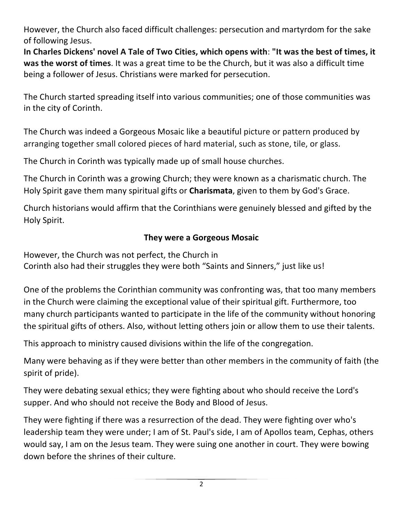However, the Church also faced difficult challenges: persecution and martyrdom for the sake of following Jesus.

**In Charles Dickens' novel A Tale of Two Cities, which opens with**: **"It was the best of times, it was the worst of times**. It was a great time to be the Church, but it was also a difficult time being a follower of Jesus. Christians were marked for persecution.

The Church started spreading itself into various communities; one of those communities was in the city of Corinth.

The Church was indeed a Gorgeous Mosaic like a beautiful picture or pattern produced by arranging together small colored pieces of hard material, such as stone, tile, or glass.

The Church in Corinth was typically made up of small house churches.

The Church in Corinth was a growing Church; they were known as a charismatic church. The Holy Spirit gave them many spiritual gifts or **Charismata**, given to them by God's Grace.

Church historians would affirm that the Corinthians were genuinely blessed and gifted by the Holy Spirit.

## **They were a Gorgeous Mosaic**

However, the Church was not perfect, the Church in Corinth also had their struggles they were both "Saints and Sinners," just like us!

One of the problems the Corinthian community was confronting was, that too many members in the Church were claiming the exceptional value of their spiritual gift. Furthermore, too many church participants wanted to participate in the life of the community without honoring the spiritual gifts of others. Also, without letting others join or allow them to use their talents.

This approach to ministry caused divisions within the life of the congregation.

Many were behaving as if they were better than other members in the community of faith (the spirit of pride).

They were debating sexual ethics; they were fighting about who should receive the Lord's supper. And who should not receive the Body and Blood of Jesus.

They were fighting if there was a resurrection of the dead. They were fighting over who's leadership team they were under; I am of St. Paul's side, I am of Apollos team, Cephas, others would say, I am on the Jesus team. They were suing one another in court. They were bowing down before the shrines of their culture.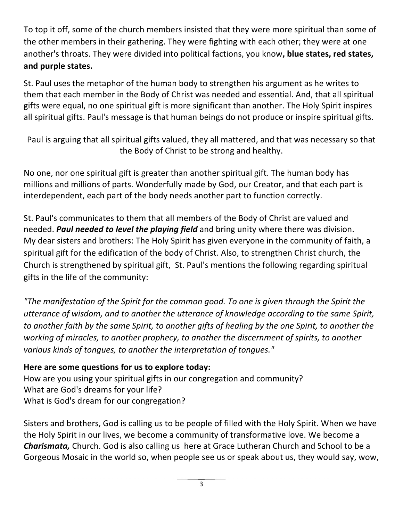To top it off, some of the church members insisted that they were more spiritual than some of the other members in their gathering. They were fighting with each other; they were at one another's throats. They were divided into political factions, you know**, blue states, red states, and purple states.** 

St. Paul uses the metaphor of the human body to strengthen his argument as he writes to them that each member in the Body of Christ was needed and essential. And, that all spiritual gifts were equal, no one spiritual gift is more significant than another. The Holy Spirit inspires all spiritual gifts. Paul's message is that human beings do not produce or inspire spiritual gifts.

Paul is arguing that all spiritual gifts valued, they all mattered, and that was necessary so that the Body of Christ to be strong and healthy.

No one, nor one spiritual gift is greater than another spiritual gift. The human body has millions and millions of parts. Wonderfully made by God, our Creator, and that each part is interdependent, each part of the body needs another part to function correctly.

St. Paul's communicates to them that all members of the Body of Christ are valued and needed. *Paul needed to level the playing field* and bring unity where there was division. My dear sisters and brothers: The Holy Spirit has given everyone in the community of faith, a spiritual gift for the edification of the body of Christ. Also, to strengthen Christ church, the Church is strengthened by spiritual gift, St. Paul's mentions the following regarding spiritual gifts in the life of the community:

*"The manifestation of the Spirit for the common good. To one is given through the Spirit the utterance of wisdom, and to another the utterance of knowledge according to the same Spirit, to another faith by the same Spirit, to another gifts of healing by the one Spirit, to another the working of miracles, to another prophecy, to another the discernment of spirits, to another various kinds of tongues, to another the interpretation of tongues."*

## **Here are some questions for us to explore today:**

How are you using your spiritual gifts in our congregation and community? What are God's dreams for your life? What is God's dream for our congregation?

Sisters and brothers, God is calling us to be people of filled with the Holy Spirit. When we have the Holy Spirit in our lives, we become a community of transformative love. We become a *Charismata,* Church. God is also calling us here at Grace Lutheran Church and School to be a Gorgeous Mosaic in the world so, when people see us or speak about us, they would say, wow,